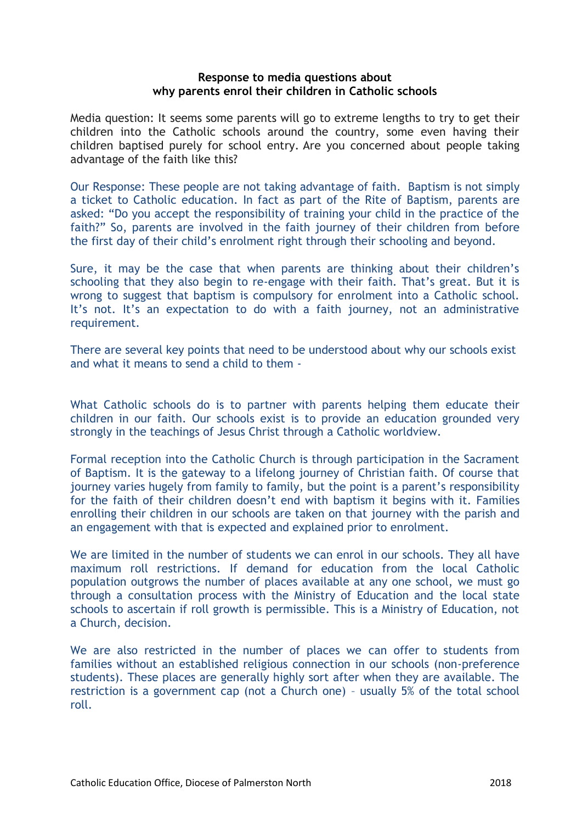## **Response to media questions about why parents enrol their children in Catholic schools**

Media question: It seems some parents will go to extreme lengths to try to get their children into the Catholic schools around the country, some even having their children baptised purely for school entry. Are you concerned about people taking advantage of the faith like this?

Our Response: These people are not taking advantage of faith. Baptism is not simply a ticket to Catholic education. In fact as part of the Rite of Baptism, parents are asked: "Do you accept the responsibility of training your child in the practice of the faith?" So, parents are involved in the faith journey of their children from before the first day of their child's enrolment right through their schooling and beyond.

Sure, it may be the case that when parents are thinking about their children's schooling that they also begin to re-engage with their faith. That's great. But it is wrong to suggest that baptism is compulsory for enrolment into a Catholic school. It's not. It's an expectation to do with a faith journey, not an administrative requirement.

There are several key points that need to be understood about why our schools exist and what it means to send a child to them -

What Catholic schools do is to partner with parents helping them educate their children in our faith. Our schools exist is to provide an education grounded very strongly in the teachings of Jesus Christ through a Catholic worldview.

Formal reception into the Catholic Church is through participation in the Sacrament of Baptism. It is the gateway to a lifelong journey of Christian faith. Of course that journey varies hugely from family to family, but the point is a parent's responsibility for the faith of their children doesn't end with baptism it begins with it. Families enrolling their children in our schools are taken on that journey with the parish and an engagement with that is expected and explained prior to enrolment.

We are limited in the number of students we can enrol in our schools. They all have maximum roll restrictions. If demand for education from the local Catholic population outgrows the number of places available at any one school, we must go through a consultation process with the Ministry of Education and the local state schools to ascertain if roll growth is permissible. This is a Ministry of Education, not a Church, decision.

We are also restricted in the number of places we can offer to students from families without an established religious connection in our schools (non-preference students). These places are generally highly sort after when they are available. The restriction is a government cap (not a Church one) – usually 5% of the total school roll.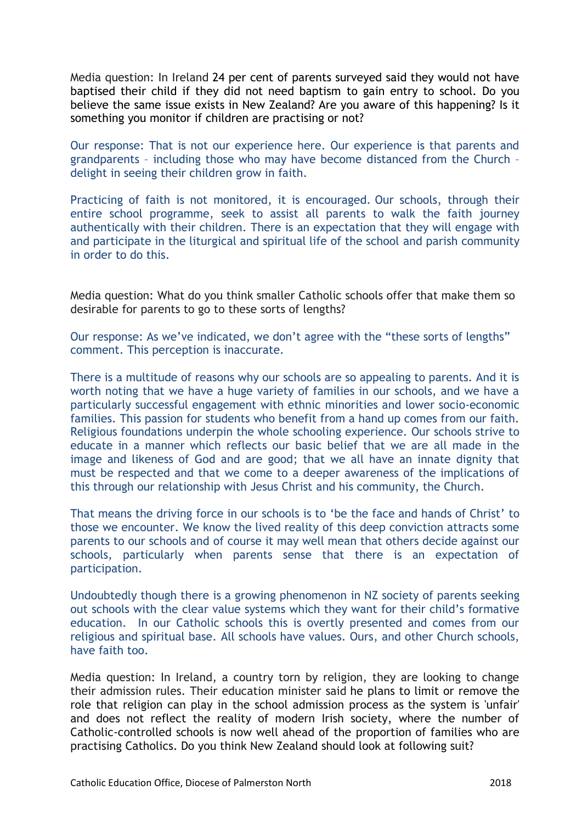Media question: In Ireland 24 per cent of parents surveyed said they would not have baptised their child if they did not need baptism to gain entry to school. Do you believe the same issue exists in New Zealand? Are you aware of this happening? Is it something you monitor if children are practising or not?

Our response: That is not our experience here. Our experience is that parents and grandparents – including those who may have become distanced from the Church – delight in seeing their children grow in faith.

Practicing of faith is not monitored, it is encouraged. Our schools, through their entire school programme, seek to assist all parents to walk the faith journey authentically with their children. There is an expectation that they will engage with and participate in the liturgical and spiritual life of the school and parish community in order to do this.

Media question: What do you think smaller Catholic schools offer that make them so desirable for parents to go to these sorts of lengths?

Our response: As we've indicated, we don't agree with the "these sorts of lengths" comment. This perception is inaccurate.

There is a multitude of reasons why our schools are so appealing to parents. And it is worth noting that we have a huge variety of families in our schools, and we have a particularly successful engagement with ethnic minorities and lower socio-economic families. This passion for students who benefit from a hand up comes from our faith. Religious foundations underpin the whole schooling experience. Our schools strive to educate in a manner which reflects our basic belief that we are all made in the image and likeness of God and are good; that we all have an innate dignity that must be respected and that we come to a deeper awareness of the implications of this through our relationship with Jesus Christ and his community, the Church.

That means the driving force in our schools is to 'be the face and hands of Christ' to those we encounter. We know the lived reality of this deep conviction attracts some parents to our schools and of course it may well mean that others decide against our schools, particularly when parents sense that there is an expectation of participation.

Undoubtedly though there is a growing phenomenon in NZ society of parents seeking out schools with the clear value systems which they want for their child's formative education. In our Catholic schools this is overtly presented and comes from our religious and spiritual base. All schools have values. Ours, and other Church schools, have faith too.

Media question: In Ireland, a country torn by religion, they are looking to change their admission rules. Their education minister said he plans to limit or remove the role that religion can play in the school admission process as the system is 'unfair' and does not reflect the reality of modern Irish society, where the number of Catholic-controlled schools is now well ahead of the proportion of families who are practising Catholics. Do you think New Zealand should look at following suit?